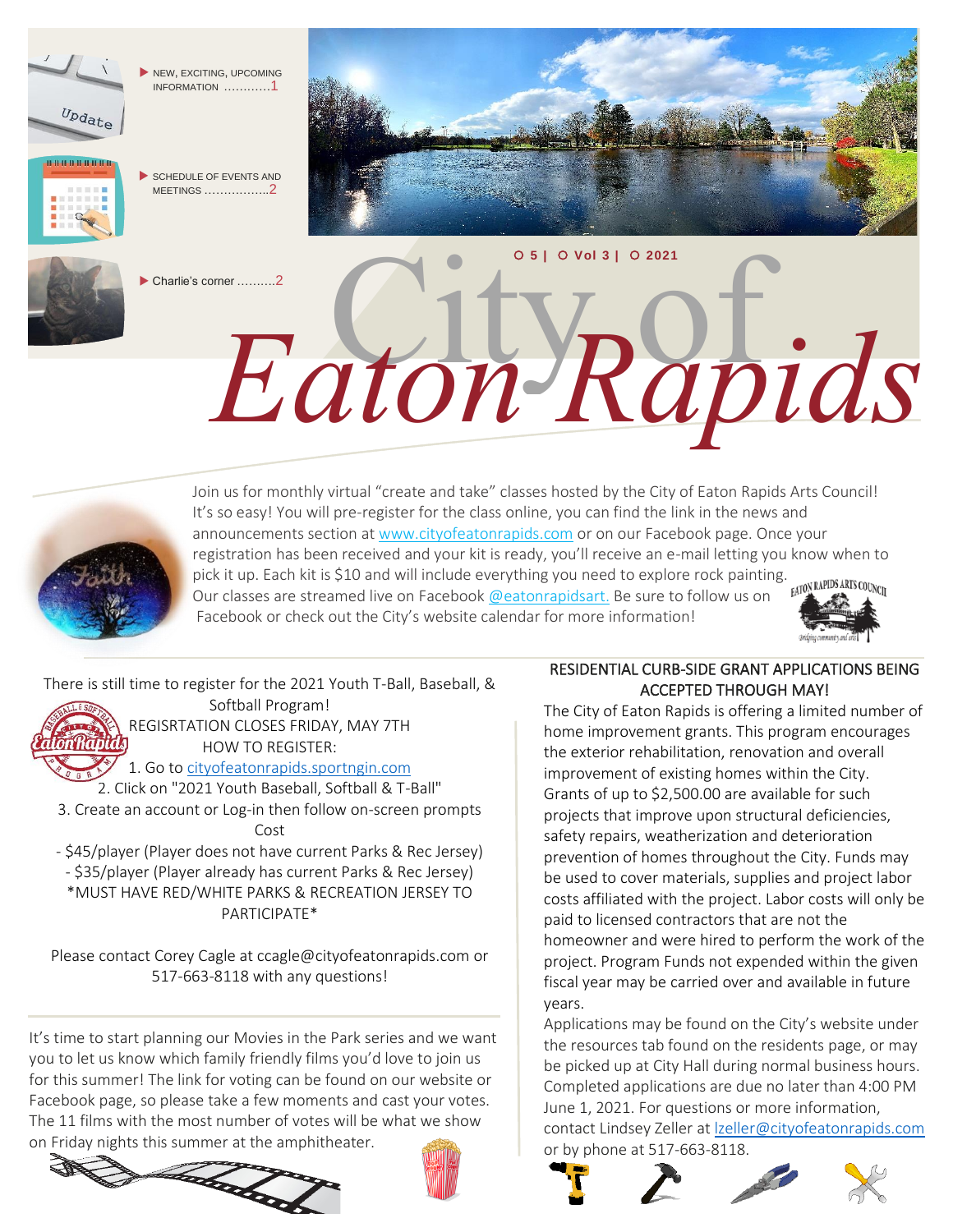

NEW, EXCITING, UPCOMING INFORMATION …………1



 SCHEDULE OF EVENTS AND MEETINGS ……………..2







Join us for monthly virtual "create and take" classes hosted by the City of Eaton Rapids Arts Council! It's so easy! You will pre-register for the class online, you can find the link in the news and announcements section a[t www.cityofeatonrapids.com](http://www.cityofeatonrapids.com/) or on our Facebook page. Once your registration has been received and your kit is ready, you'll receive an e-mail letting you know when to pick it up. Each kit is \$10 and will include everything you need to explore rock painting. **EATON RAPIDS ARTS COUNCIL** Our classes are streamed live on Facebook @eatonrapidsart. Be sure to follow us on Facebook or check out the City's website calendar for more information!



There is still time to register for the 2021 Youth T-Ball, Baseball, & Softball Program! REGISRTATION CLOSES FRIDAY, MAY 7TH

HOW TO REGISTER:

1. Go to [cityofeatonrapids.sportngin.com](http://cityofeatonrapids.sportngin.com/?fbclid=IwAR30MS8Be6aeeQphirtcOI4FSdy0OuO8WrrFBHZYV4nnSTkZxmbOQGGpTws) 2. Click on "2021 Youth Baseball, Softball & T-Ball"

3. Create an account or Log-in then follow on-screen prompts Cost

- \$45/player (Player does not have current Parks & Rec Jersey) - \$35/player (Player already has current Parks & Rec Jersey) \*MUST HAVE RED/WHITE PARKS & RECREATION JERSEY TO PARTICIPATE\*

Please contact Corey Cagle at ccagle@cityofeatonrapids.com or 517-663-8118 with any questions!

It's time to start planning our Movies in the Park series and we want you to let us know which family friendly films you'd love to join us for this summer! The link for voting can be found on our website or Facebook page, so please take a few moments and cast your votes. The 11 films with the most number of votes will be what we show





### RESIDENTIAL CURB-SIDE GRANT APPLICATIONS BEING ACCEPTED THROUGH MAY!

The City of Eaton Rapids is offering a limited number of home improvement grants. This program encourages the exterior rehabilitation, renovation and overall improvement of existing homes within the City. Grants of up to \$2,500.00 are available for such projects that improve upon structural deficiencies, safety repairs, weatherization and deterioration prevention of homes throughout the City. Funds may be used to cover materials, supplies and project labor costs affiliated with the project. Labor costs will only be paid to licensed contractors that are not the homeowner and were hired to perform the work of the project. Program Funds not expended within the given fiscal year may be carried over and available in future years.

Applications may be found on the City's website under the resources tab found on the residents page, or may be picked up at City Hall during normal business hours. Completed applications are due no later than 4:00 PM June 1, 2021. For questions or more information, contact Lindsey Zeller at [lzeller@cityofeatonrapids.com](mailto:lzeller@cityofeatonrapids.com) or by phone at 517-663-8118.